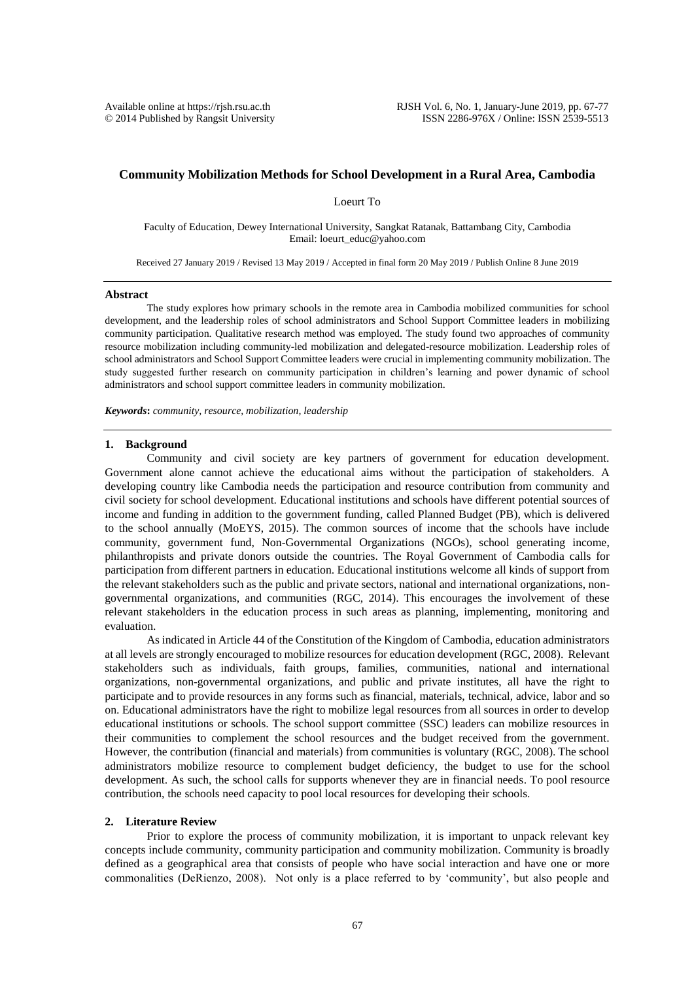$© 2014$  Published by Rangsit University

# **Community Mobilization Methods for School Development in a Rural Area, Cambodia**

Loeurt To

Faculty of Education, Dewey International University, Sangkat Ratanak, Battambang City, Cambodia Email: loeurt\_educ@yahoo.com

Received 27 January 2019 / Revised 13 May 2019 / Accepted in final form 20 May 2019 / Publish Online 8 June 2019

#### **Abstract**

The study explores how primary schools in the remote area in Cambodia mobilized communities for school development, and the leadership roles of school administrators and School Support Committee leaders in mobilizing community participation. Qualitative research method was employed. The study found two approaches of community resource mobilization including community-led mobilization and delegated-resource mobilization. Leadership roles of school administrators and School Support Committee leaders were crucial in implementing community mobilization. The study suggested further research on community participation in children's learning and power dynamic of school administrators and school support committee leaders in community mobilization.

*Keywords***:** *community, resource, mobilization, leadership*

### **1. Background**

Community and civil society are key partners of government for education development. Government alone cannot achieve the educational aims without the participation of stakeholders. A developing country like Cambodia needs the participation and resource contribution from community and civil society for school development. Educational institutions and schools have different potential sources of income and funding in addition to the government funding, called Planned Budget (PB), which is delivered to the school annually (MoEYS, 2015). The common sources of income that the schools have include community, government fund, Non-Governmental Organizations (NGOs), school generating income, philanthropists and private donors outside the countries. The Royal Government of Cambodia calls for participation from different partners in education. Educational institutions welcome all kinds of support from the relevant stakeholders such as the public and private sectors, national and international organizations, nongovernmental organizations, and communities (RGC, 2014). This encourages the involvement of these relevant stakeholders in the education process in such areas as planning, implementing, monitoring and evaluation.

As indicated in Article 44 of the Constitution of the Kingdom of Cambodia, education administrators at all levels are strongly encouraged to mobilize resources for education development (RGC, 2008). Relevant stakeholders such as individuals, faith groups, families, communities, national and international organizations, non-governmental organizations, and public and private institutes, all have the right to participate and to provide resources in any forms such as financial, materials, technical, advice, labor and so on. Educational administrators have the right to mobilize legal resources from all sources in order to develop educational institutions or schools. The school support committee (SSC) leaders can mobilize resources in their communities to complement the school resources and the budget received from the government. However, the contribution (financial and materials) from communities is voluntary (RGC, 2008). The school administrators mobilize resource to complement budget deficiency, the budget to use for the school development. As such, the school calls for supports whenever they are in financial needs. To pool resource contribution, the schools need capacity to pool local resources for developing their schools.

# **2. Literature Review**

Prior to explore the process of community mobilization, it is important to unpack relevant key concepts include community, community participation and community mobilization. Community is broadly defined as a geographical area that consists of people who have social interaction and have one or more commonalities (DeRienzo, 2008). Not only is a place referred to by 'community', but also people and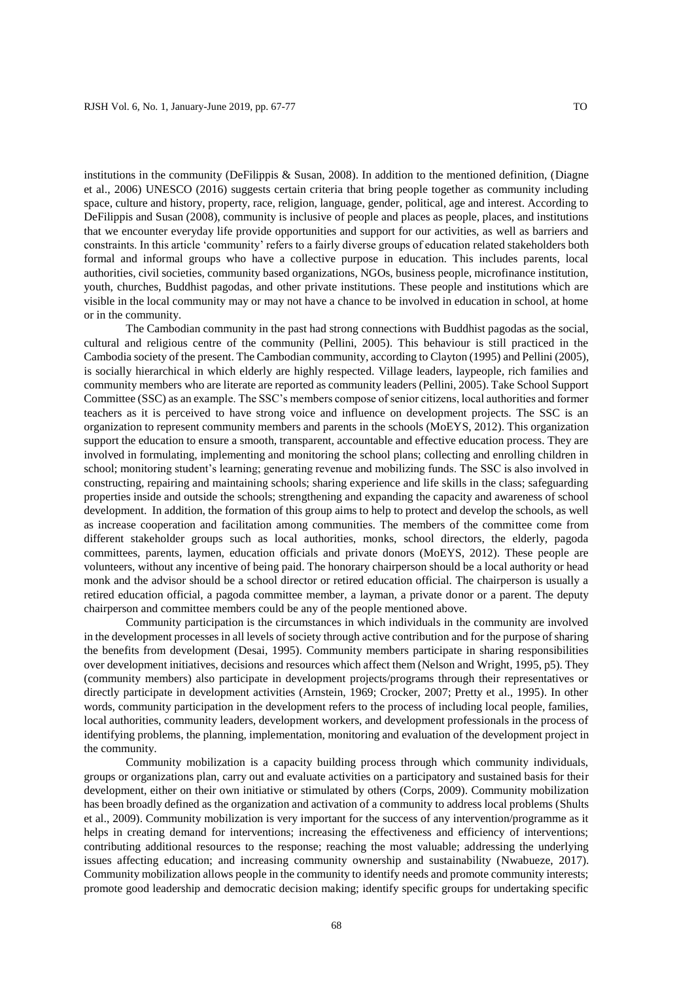institutions in the community (DeFilippis & Susan, 2008). In addition to the mentioned definition, (Diagne et al., 2006) UNESCO (2016) suggests certain criteria that bring people together as community including space, culture and history, property, race, religion, language, gender, political, age and interest. According to DeFilippis and Susan (2008), community is inclusive of people and places as people, places, and institutions that we encounter everyday life provide opportunities and support for our activities, as well as barriers and constraints. In this article 'community' refers to a fairly diverse groups of education related stakeholders both formal and informal groups who have a collective purpose in education. This includes parents, local authorities, civil societies, community based organizations, NGOs, business people, microfinance institution, youth, churches, Buddhist pagodas, and other private institutions. These people and institutions which are visible in the local community may or may not have a chance to be involved in education in school, at home or in the community.

The Cambodian community in the past had strong connections with Buddhist pagodas as the social, cultural and religious centre of the community (Pellini, 2005). This behaviour is still practiced in the Cambodia society of the present. The Cambodian community, according to Clayton (1995) and Pellini (2005), is socially hierarchical in which elderly are highly respected. Village leaders, laypeople, rich families and community members who are literate are reported as community leaders (Pellini, 2005). Take School Support Committee (SSC) as an example. The SSC's members compose of senior citizens, local authorities and former teachers as it is perceived to have strong voice and influence on development projects. The SSC is an organization to represent community members and parents in the schools (MoEYS, 2012). This organization support the education to ensure a smooth, transparent, accountable and effective education process. They are involved in formulating, implementing and monitoring the school plans; collecting and enrolling children in school; monitoring student's learning; generating revenue and mobilizing funds. The SSC is also involved in constructing, repairing and maintaining schools; sharing experience and life skills in the class; safeguarding properties inside and outside the schools; strengthening and expanding the capacity and awareness of school development. In addition, the formation of this group aims to help to protect and develop the schools, as well as increase cooperation and facilitation among communities. The members of the committee come from different stakeholder groups such as local authorities, monks, school directors, the elderly, pagoda committees, parents, laymen, education officials and private donors (MoEYS, 2012). These people are volunteers, without any incentive of being paid. The honorary chairperson should be a local authority or head monk and the advisor should be a school director or retired education official. The chairperson is usually a retired education official, a pagoda committee member, a layman, a private donor or a parent. The deputy chairperson and committee members could be any of the people mentioned above.

Community participation is the circumstances in which individuals in the community are involved in the development processes in all levels of society through active contribution and for the purpose of sharing the benefits from development (Desai, 1995). Community members participate in sharing responsibilities over development initiatives, decisions and resources which affect them (Nelson and Wright, 1995, p5). They (community members) also participate in development projects/programs through their representatives or directly participate in development activities (Arnstein, 1969; Crocker, 2007; Pretty et al., 1995). In other words, community participation in the development refers to the process of including local people, families, local authorities, community leaders, development workers, and development professionals in the process of identifying problems, the planning, implementation, monitoring and evaluation of the development project in the community.

Community mobilization is a capacity building process through which community individuals, groups or organizations plan, carry out and evaluate activities on a participatory and sustained basis for their development, either on their own initiative or stimulated by others (Corps, 2009). Community mobilization has been broadly defined as the organization and activation of a community to address local problems (Shults et al., 2009). Community mobilization is very important for the success of any intervention/programme as it helps in creating demand for interventions; increasing the effectiveness and efficiency of interventions; contributing additional resources to the response; reaching the most valuable; addressing the underlying issues affecting education; and increasing community ownership and sustainability (Nwabueze, 2017). Community mobilization allows people in the community to identify needs and promote community interests; promote good leadership and democratic decision making; identify specific groups for undertaking specific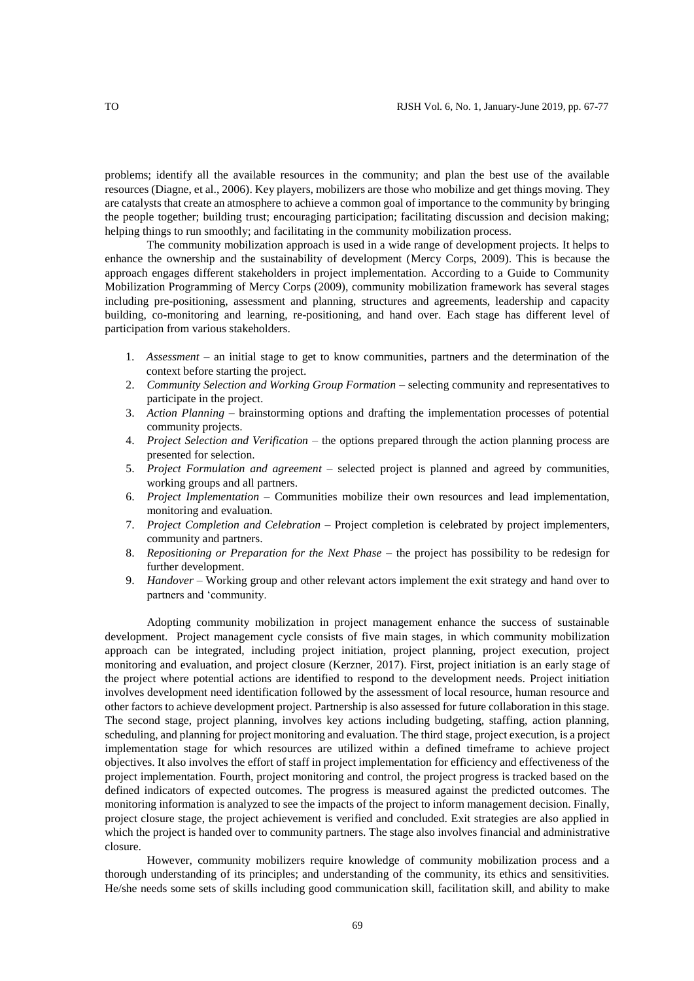problems; identify all the available resources in the community; and plan the best use of the available resources (Diagne, et al., 2006). Key players, mobilizers are those who mobilize and get things moving. They are catalysts that create an atmosphere to achieve a common goal of importance to the community by bringing the people together; building trust; encouraging participation; facilitating discussion and decision making; helping things to run smoothly; and facilitating in the community mobilization process.

The community mobilization approach is used in a wide range of development projects. It helps to enhance the ownership and the sustainability of development (Mercy Corps, 2009). This is because the approach engages different stakeholders in project implementation. According to a Guide to Community Mobilization Programming of Mercy Corps (2009), community mobilization framework has several stages including pre-positioning, assessment and planning, structures and agreements, leadership and capacity building, co-monitoring and learning, re-positioning, and hand over. Each stage has different level of participation from various stakeholders.

- 1. *Assessment* an initial stage to get to know communities, partners and the determination of the context before starting the project.
- 2. *Community Selection and Working Group Formation* selecting community and representatives to participate in the project.
- 3. *Action Planning* brainstorming options and drafting the implementation processes of potential community projects.
- 4. *Project Selection and Verification* the options prepared through the action planning process are presented for selection.
- 5. *Project Formulation and agreement* selected project is planned and agreed by communities, working groups and all partners.
- 6. *Project Implementation* Communities mobilize their own resources and lead implementation, monitoring and evaluation.
- 7. *Project Completion and Celebration* Project completion is celebrated by project implementers, community and partners.
- 8. *Repositioning or Preparation for the Next Phase* the project has possibility to be redesign for further development.
- 9. *Handover* Working group and other relevant actors implement the exit strategy and hand over to partners and 'community.

Adopting community mobilization in project management enhance the success of sustainable development. Project management cycle consists of five main stages, in which community mobilization approach can be integrated, including project initiation, project planning, project execution, project monitoring and evaluation, and project closure (Kerzner, 2017). First, project initiation is an early stage of the project where potential actions are identified to respond to the development needs. Project initiation involves development need identification followed by the assessment of local resource, human resource and other factors to achieve development project. Partnership is also assessed for future collaboration in this stage. The second stage, project planning, involves key actions including budgeting, staffing, action planning, scheduling, and planning for project monitoring and evaluation. The third stage, project execution, is a project implementation stage for which resources are utilized within a defined timeframe to achieve project objectives. It also involves the effort of staff in project implementation for efficiency and effectiveness of the project implementation. Fourth, project monitoring and control, the project progress is tracked based on the defined indicators of expected outcomes. The progress is measured against the predicted outcomes. The monitoring information is analyzed to see the impacts of the project to inform management decision. Finally, project closure stage, the project achievement is verified and concluded. Exit strategies are also applied in which the project is handed over to community partners. The stage also involves financial and administrative closure.

However, community mobilizers require knowledge of community mobilization process and a thorough understanding of its principles; and understanding of the community, its ethics and sensitivities. He/she needs some sets of skills including good communication skill, facilitation skill, and ability to make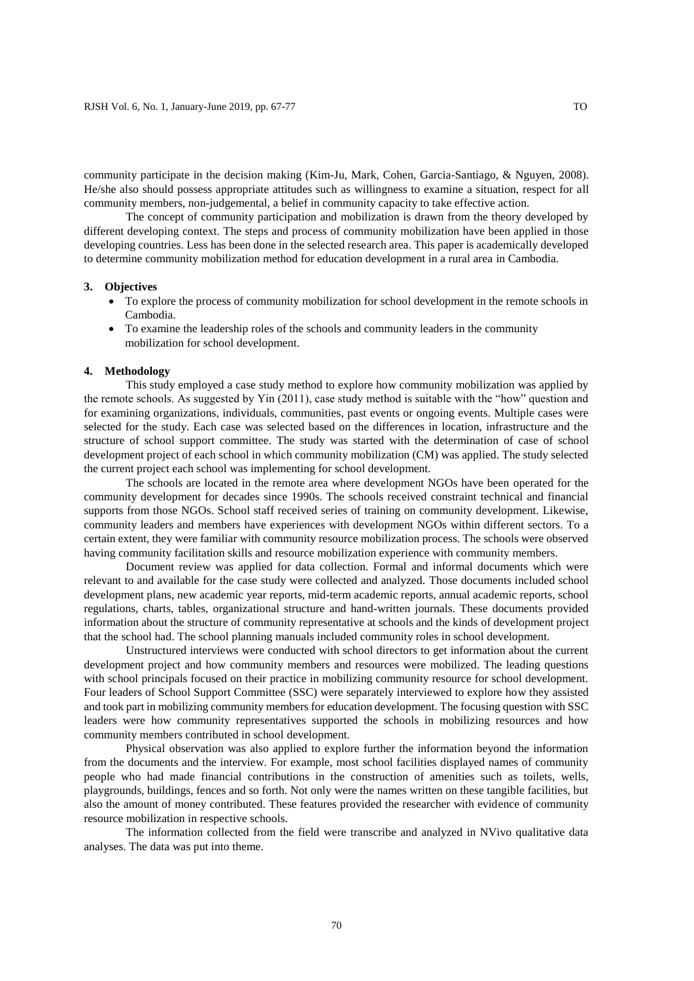community participate in the decision making (Kim-Ju, Mark, Cohen, Garcia-Santiago, & Nguyen, 2008). He/she also should possess appropriate attitudes such as willingness to examine a situation, respect for all community members, non-judgemental, a belief in community capacity to take effective action.

The concept of community participation and mobilization is drawn from the theory developed by different developing context. The steps and process of community mobilization have been applied in those developing countries. Less has been done in the selected research area. This paper is academically developed to determine community mobilization method for education development in a rural area in Cambodia.

#### **3. Objectives**

- To explore the process of community mobilization for school development in the remote schools in Cambodia.
- To examine the leadership roles of the schools and community leaders in the community mobilization for school development.

#### **4. Methodology**

This study employed a case study method to explore how community mobilization was applied by the remote schools. As suggested by Yin (2011), case study method is suitable with the "how" question and for examining organizations, individuals, communities, past events or ongoing events. Multiple cases were selected for the study. Each case was selected based on the differences in location, infrastructure and the structure of school support committee. The study was started with the determination of case of school development project of each school in which community mobilization (CM) was applied. The study selected the current project each school was implementing for school development.

The schools are located in the remote area where development NGOs have been operated for the community development for decades since 1990s. The schools received constraint technical and financial supports from those NGOs. School staff received series of training on community development. Likewise, community leaders and members have experiences with development NGOs within different sectors. To a certain extent, they were familiar with community resource mobilization process. The schools were observed having community facilitation skills and resource mobilization experience with community members.

Document review was applied for data collection. Formal and informal documents which were relevant to and available for the case study were collected and analyzed. Those documents included school development plans, new academic year reports, mid-term academic reports, annual academic reports, school regulations, charts, tables, organizational structure and hand-written journals. These documents provided information about the structure of community representative at schools and the kinds of development project that the school had. The school planning manuals included community roles in school development.

Unstructured interviews were conducted with school directors to get information about the current development project and how community members and resources were mobilized. The leading questions with school principals focused on their practice in mobilizing community resource for school development. Four leaders of School Support Committee (SSC) were separately interviewed to explore how they assisted and took part in mobilizing community members for education development. The focusing question with SSC leaders were how community representatives supported the schools in mobilizing resources and how community members contributed in school development.

Physical observation was also applied to explore further the information beyond the information from the documents and the interview. For example, most school facilities displayed names of community people who had made financial contributions in the construction of amenities such as toilets, wells, playgrounds, buildings, fences and so forth. Not only were the names written on these tangible facilities, but also the amount of money contributed. These features provided the researcher with evidence of community resource mobilization in respective schools.

The information collected from the field were transcribe and analyzed in NVivo qualitative data analyses. The data was put into theme.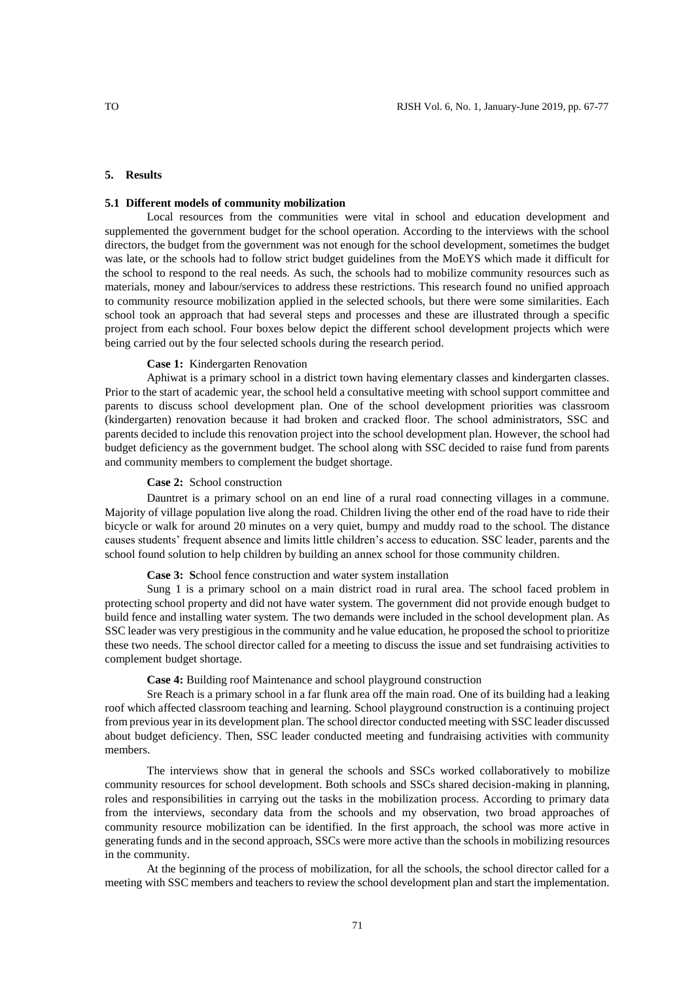## **5. Results**

# **5.1 Different models of community mobilization**

Local resources from the communities were vital in school and education development and supplemented the government budget for the school operation. According to the interviews with the school directors, the budget from the government was not enough for the school development, sometimes the budget was late, or the schools had to follow strict budget guidelines from the MoEYS which made it difficult for the school to respond to the real needs. As such, the schools had to mobilize community resources such as materials, money and labour/services to address these restrictions. This research found no unified approach to community resource mobilization applied in the selected schools, but there were some similarities. Each school took an approach that had several steps and processes and these are illustrated through a specific project from each school. Four boxes below depict the different school development projects which were being carried out by the four selected schools during the research period.

## **Case 1:** Kindergarten Renovation

Aphiwat is a primary school in a district town having elementary classes and kindergarten classes. Prior to the start of academic year, the school held a consultative meeting with school support committee and parents to discuss school development plan. One of the school development priorities was classroom (kindergarten) renovation because it had broken and cracked floor. The school administrators, SSC and parents decided to include this renovation project into the school development plan. However, the school had budget deficiency as the government budget. The school along with SSC decided to raise fund from parents and community members to complement the budget shortage.

### **Case 2:** School construction

Dauntret is a primary school on an end line of a rural road connecting villages in a commune. Majority of village population live along the road. Children living the other end of the road have to ride their bicycle or walk for around 20 minutes on a very quiet, bumpy and muddy road to the school. The distance causes students' frequent absence and limits little children's access to education. SSC leader, parents and the school found solution to help children by building an annex school for those community children.

**Case 3: S**chool fence construction and water system installation

Sung 1 is a primary school on a main district road in rural area. The school faced problem in protecting school property and did not have water system. The government did not provide enough budget to build fence and installing water system. The two demands were included in the school development plan. As SSC leader was very prestigious in the community and he value education, he proposed the school to prioritize these two needs. The school director called for a meeting to discuss the issue and set fundraising activities to complement budget shortage.

**Case 4:** Building roof Maintenance and school playground construction

Sre Reach is a primary school in a far flunk area off the main road. One of its building had a leaking roof which affected classroom teaching and learning. School playground construction is a continuing project from previous year in its development plan. The school director conducted meeting with SSC leader discussed about budget deficiency. Then, SSC leader conducted meeting and fundraising activities with community members.

The interviews show that in general the schools and SSCs worked collaboratively to mobilize community resources for school development. Both schools and SSCs shared decision-making in planning, roles and responsibilities in carrying out the tasks in the mobilization process. According to primary data from the interviews, secondary data from the schools and my observation, two broad approaches of community resource mobilization can be identified. In the first approach, the school was more active in generating funds and in the second approach, SSCs were more active than the schools in mobilizing resources in the community.

At the beginning of the process of mobilization, for all the schools, the school director called for a meeting with SSC members and teachers to review the school development plan and start the implementation.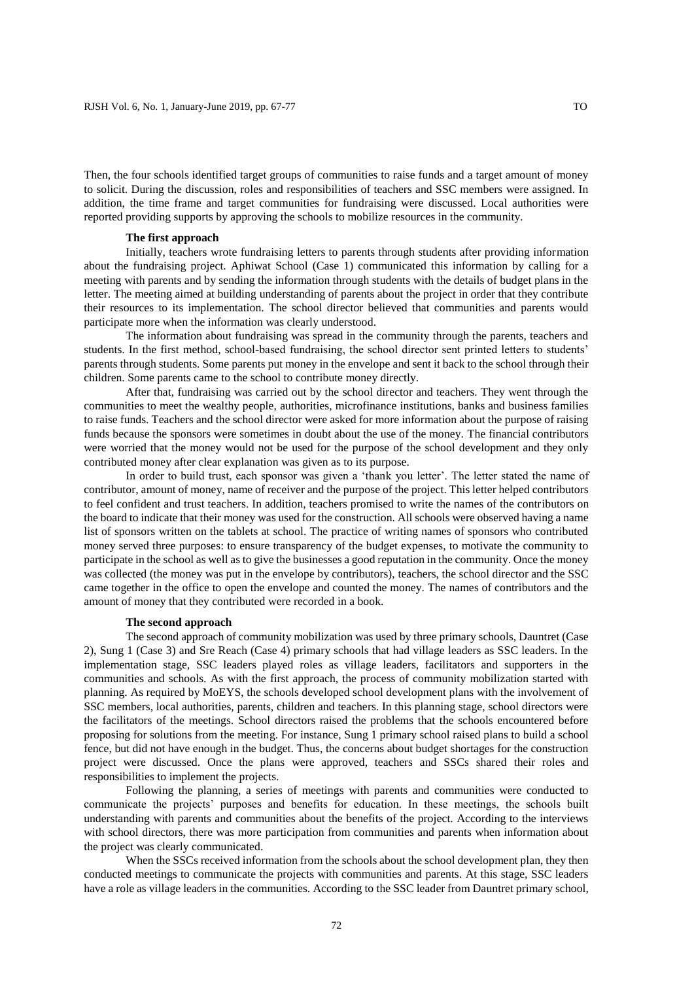Then, the four schools identified target groups of communities to raise funds and a target amount of money to solicit. During the discussion, roles and responsibilities of teachers and SSC members were assigned. In addition, the time frame and target communities for fundraising were discussed. Local authorities were reported providing supports by approving the schools to mobilize resources in the community.

### **The first approach**

Initially, teachers wrote fundraising letters to parents through students after providing information about the fundraising project. Aphiwat School (Case 1) communicated this information by calling for a meeting with parents and by sending the information through students with the details of budget plans in the letter. The meeting aimed at building understanding of parents about the project in order that they contribute their resources to its implementation. The school director believed that communities and parents would participate more when the information was clearly understood.

The information about fundraising was spread in the community through the parents, teachers and students. In the first method, school-based fundraising, the school director sent printed letters to students' parents through students. Some parents put money in the envelope and sent it back to the school through their children. Some parents came to the school to contribute money directly.

After that, fundraising was carried out by the school director and teachers. They went through the communities to meet the wealthy people, authorities, microfinance institutions, banks and business families to raise funds. Teachers and the school director were asked for more information about the purpose of raising funds because the sponsors were sometimes in doubt about the use of the money. The financial contributors were worried that the money would not be used for the purpose of the school development and they only contributed money after clear explanation was given as to its purpose.

In order to build trust, each sponsor was given a 'thank you letter'. The letter stated the name of contributor, amount of money, name of receiver and the purpose of the project. This letter helped contributors to feel confident and trust teachers. In addition, teachers promised to write the names of the contributors on the board to indicate that their money was used for the construction. All schools were observed having a name list of sponsors written on the tablets at school. The practice of writing names of sponsors who contributed money served three purposes: to ensure transparency of the budget expenses, to motivate the community to participate in the school as well as to give the businesses a good reputation in the community. Once the money was collected (the money was put in the envelope by contributors), teachers, the school director and the SSC came together in the office to open the envelope and counted the money. The names of contributors and the amount of money that they contributed were recorded in a book.

### **The second approach**

The second approach of community mobilization was used by three primary schools, Dauntret (Case 2), Sung 1 (Case 3) and Sre Reach (Case 4) primary schools that had village leaders as SSC leaders. In the implementation stage, SSC leaders played roles as village leaders, facilitators and supporters in the communities and schools. As with the first approach, the process of community mobilization started with planning. As required by MoEYS, the schools developed school development plans with the involvement of SSC members, local authorities, parents, children and teachers. In this planning stage, school directors were the facilitators of the meetings. School directors raised the problems that the schools encountered before proposing for solutions from the meeting. For instance, Sung 1 primary school raised plans to build a school fence, but did not have enough in the budget. Thus, the concerns about budget shortages for the construction project were discussed. Once the plans were approved, teachers and SSCs shared their roles and responsibilities to implement the projects.

Following the planning, a series of meetings with parents and communities were conducted to communicate the projects' purposes and benefits for education. In these meetings, the schools built understanding with parents and communities about the benefits of the project. According to the interviews with school directors, there was more participation from communities and parents when information about the project was clearly communicated.

When the SSCs received information from the schools about the school development plan, they then conducted meetings to communicate the projects with communities and parents. At this stage, SSC leaders have a role as village leaders in the communities. According to the SSC leader from Dauntret primary school,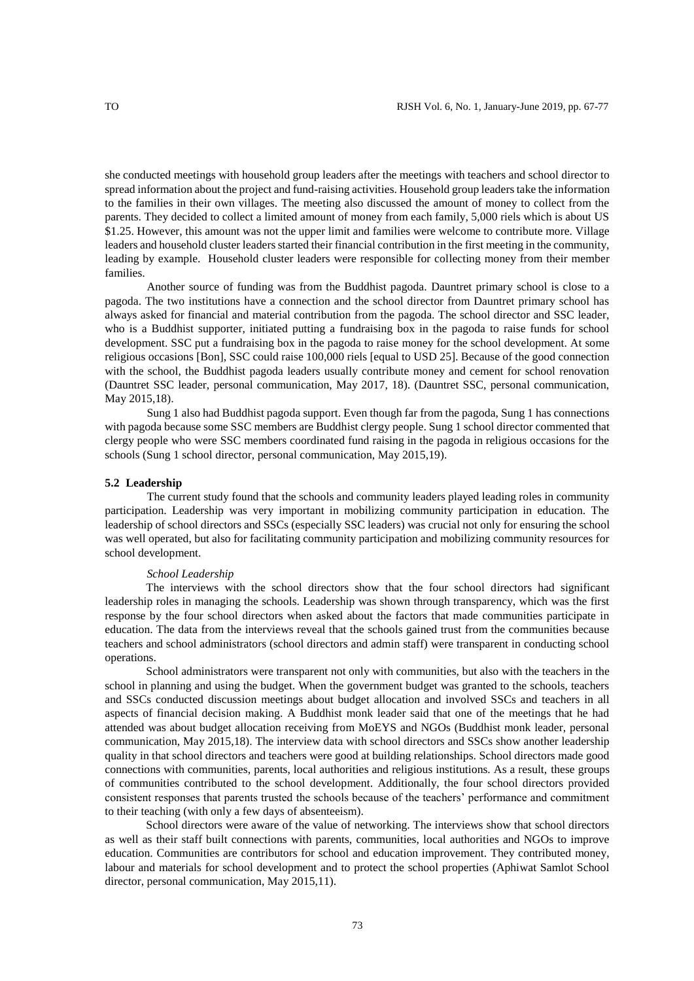she conducted meetings with household group leaders after the meetings with teachers and school director to spread information about the project and fund-raising activities. Household group leaders take the information to the families in their own villages. The meeting also discussed the amount of money to collect from the parents. They decided to collect a limited amount of money from each family, 5,000 riels which is about US \$1.25. However, this amount was not the upper limit and families were welcome to contribute more. Village leaders and household cluster leaders started their financial contribution in the first meeting in the community, leading by example. Household cluster leaders were responsible for collecting money from their member

Another source of funding was from the Buddhist pagoda. Dauntret primary school is close to a pagoda. The two institutions have a connection and the school director from Dauntret primary school has always asked for financial and material contribution from the pagoda. The school director and SSC leader, who is a Buddhist supporter, initiated putting a fundraising box in the pagoda to raise funds for school development. SSC put a fundraising box in the pagoda to raise money for the school development. At some religious occasions [Bon], SSC could raise 100,000 riels [equal to USD 25]. Because of the good connection with the school, the Buddhist pagoda leaders usually contribute money and cement for school renovation (Dauntret SSC leader, personal communication, May 2017, 18). (Dauntret SSC, personal communication, May 2015,18).

Sung 1 also had Buddhist pagoda support. Even though far from the pagoda, Sung 1 has connections with pagoda because some SSC members are Buddhist clergy people. Sung 1 school director commented that clergy people who were SSC members coordinated fund raising in the pagoda in religious occasions for the schools (Sung 1 school director, personal communication, May 2015,19).

#### **5.2 Leadership**

The current study found that the schools and community leaders played leading roles in community participation. Leadership was very important in mobilizing community participation in education. The leadership of school directors and SSCs (especially SSC leaders) was crucial not only for ensuring the school was well operated, but also for facilitating community participation and mobilizing community resources for school development.

#### *School Leadership*

The interviews with the school directors show that the four school directors had significant leadership roles in managing the schools. Leadership was shown through transparency, which was the first response by the four school directors when asked about the factors that made communities participate in education. The data from the interviews reveal that the schools gained trust from the communities because teachers and school administrators (school directors and admin staff) were transparent in conducting school operations.

School administrators were transparent not only with communities, but also with the teachers in the school in planning and using the budget. When the government budget was granted to the schools, teachers and SSCs conducted discussion meetings about budget allocation and involved SSCs and teachers in all aspects of financial decision making. A Buddhist monk leader said that one of the meetings that he had attended was about budget allocation receiving from MoEYS and NGOs (Buddhist monk leader, personal communication, May 2015,18). The interview data with school directors and SSCs show another leadership quality in that school directors and teachers were good at building relationships. School directors made good connections with communities, parents, local authorities and religious institutions. As a result, these groups of communities contributed to the school development. Additionally, the four school directors provided consistent responses that parents trusted the schools because of the teachers' performance and commitment to their teaching (with only a few days of absenteeism).

School directors were aware of the value of networking. The interviews show that school directors as well as their staff built connections with parents, communities, local authorities and NGOs to improve education. Communities are contributors for school and education improvement. They contributed money, labour and materials for school development and to protect the school properties (Aphiwat Samlot School director, personal communication, May 2015,11).

families.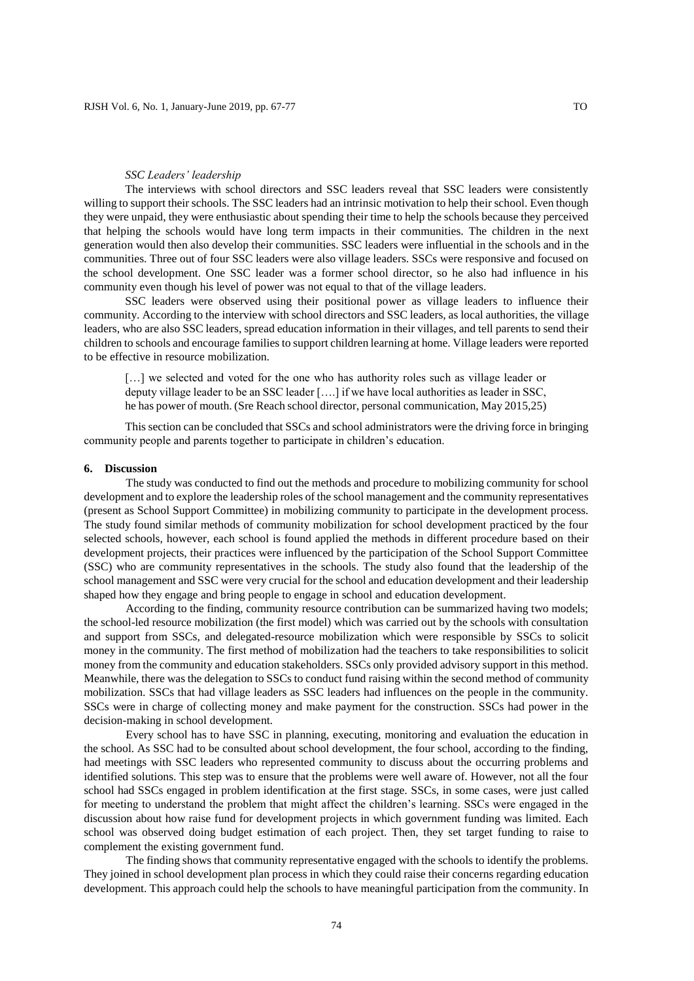#### *SSC Leaders' leadership*

The interviews with school directors and SSC leaders reveal that SSC leaders were consistently willing to support their schools. The SSC leaders had an intrinsic motivation to help their school. Even though they were unpaid, they were enthusiastic about spending their time to help the schools because they perceived that helping the schools would have long term impacts in their communities. The children in the next generation would then also develop their communities. SSC leaders were influential in the schools and in the communities. Three out of four SSC leaders were also village leaders. SSCs were responsive and focused on the school development. One SSC leader was a former school director, so he also had influence in his community even though his level of power was not equal to that of the village leaders.

SSC leaders were observed using their positional power as village leaders to influence their community. According to the interview with school directors and SSC leaders, as local authorities, the village leaders, who are also SSC leaders, spread education information in their villages, and tell parents to send their children to schools and encourage families to support children learning at home. Village leaders were reported to be effective in resource mobilization.

[...] we selected and voted for the one who has authority roles such as village leader or deputy village leader to be an SSC leader [….] if we have local authorities as leader in SSC, he has power of mouth. (Sre Reach school director, personal communication, May 2015,25)

This section can be concluded that SSCs and school administrators were the driving force in bringing community people and parents together to participate in children's education.

# **6. Discussion**

The study was conducted to find out the methods and procedure to mobilizing community for school development and to explore the leadership roles of the school management and the community representatives (present as School Support Committee) in mobilizing community to participate in the development process. The study found similar methods of community mobilization for school development practiced by the four selected schools, however, each school is found applied the methods in different procedure based on their development projects, their practices were influenced by the participation of the School Support Committee (SSC) who are community representatives in the schools. The study also found that the leadership of the school management and SSC were very crucial for the school and education development and their leadership shaped how they engage and bring people to engage in school and education development.

According to the finding, community resource contribution can be summarized having two models; the school-led resource mobilization (the first model) which was carried out by the schools with consultation and support from SSCs, and delegated-resource mobilization which were responsible by SSCs to solicit money in the community. The first method of mobilization had the teachers to take responsibilities to solicit money from the community and education stakeholders. SSCs only provided advisory support in this method. Meanwhile, there was the delegation to SSCs to conduct fund raising within the second method of community mobilization. SSCs that had village leaders as SSC leaders had influences on the people in the community. SSCs were in charge of collecting money and make payment for the construction. SSCs had power in the decision-making in school development.

Every school has to have SSC in planning, executing, monitoring and evaluation the education in the school. As SSC had to be consulted about school development, the four school, according to the finding, had meetings with SSC leaders who represented community to discuss about the occurring problems and identified solutions. This step was to ensure that the problems were well aware of. However, not all the four school had SSCs engaged in problem identification at the first stage. SSCs, in some cases, were just called for meeting to understand the problem that might affect the children's learning. SSCs were engaged in the discussion about how raise fund for development projects in which government funding was limited. Each school was observed doing budget estimation of each project. Then, they set target funding to raise to complement the existing government fund.

The finding shows that community representative engaged with the schools to identify the problems. They joined in school development plan process in which they could raise their concerns regarding education development. This approach could help the schools to have meaningful participation from the community. In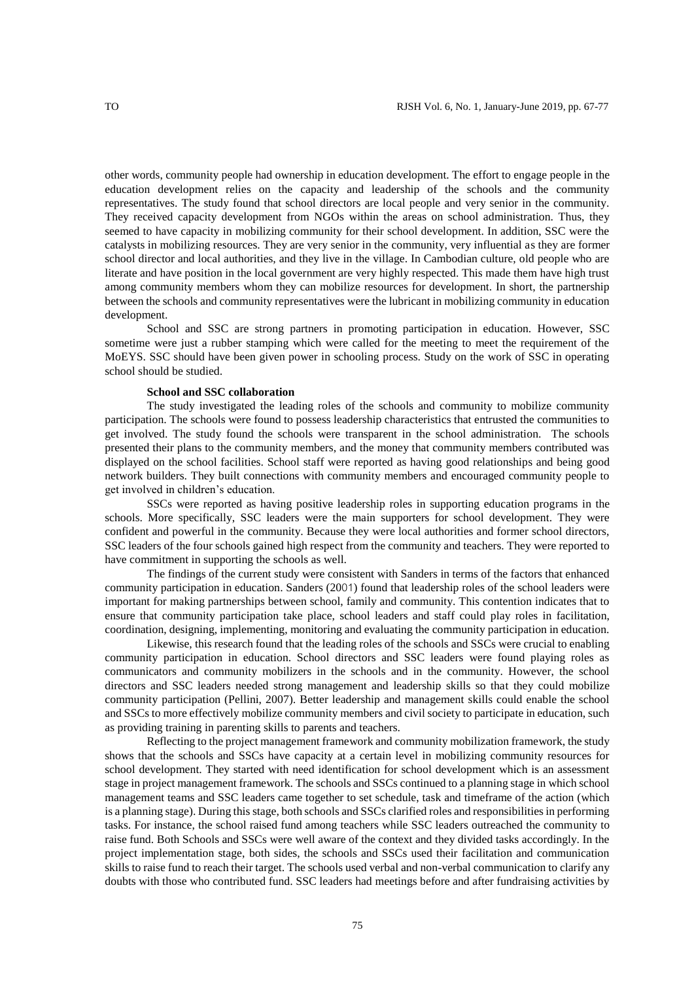other words, community people had ownership in education development. The effort to engage people in the education development relies on the capacity and leadership of the schools and the community representatives. The study found that school directors are local people and very senior in the community. They received capacity development from NGOs within the areas on school administration. Thus, they seemed to have capacity in mobilizing community for their school development. In addition, SSC were the catalysts in mobilizing resources. They are very senior in the community, very influential as they are former school director and local authorities, and they live in the village. In Cambodian culture, old people who are literate and have position in the local government are very highly respected. This made them have high trust among community members whom they can mobilize resources for development. In short, the partnership between the schools and community representatives were the lubricant in mobilizing community in education development.

School and SSC are strong partners in promoting participation in education. However, SSC sometime were just a rubber stamping which were called for the meeting to meet the requirement of the MoEYS. SSC should have been given power in schooling process. Study on the work of SSC in operating school should be studied.

### **School and SSC collaboration**

The study investigated the leading roles of the schools and community to mobilize community participation. The schools were found to possess leadership characteristics that entrusted the communities to get involved. The study found the schools were transparent in the school administration. The schools presented their plans to the community members, and the money that community members contributed was displayed on the school facilities. School staff were reported as having good relationships and being good network builders. They built connections with community members and encouraged community people to get involved in children's education.

SSCs were reported as having positive leadership roles in supporting education programs in the schools. More specifically, SSC leaders were the main supporters for school development. They were confident and powerful in the community. Because they were local authorities and former school directors, SSC leaders of the four schools gained high respect from the community and teachers. They were reported to have commitment in supporting the schools as well.

The findings of the current study were consistent with Sanders in terms of the factors that enhanced community participation in education. Sanders (2001) found that leadership roles of the school leaders were important for making partnerships between school, family and community. This contention indicates that to ensure that community participation take place, school leaders and staff could play roles in facilitation, coordination, designing, implementing, monitoring and evaluating the community participation in education.

Likewise, this research found that the leading roles of the schools and SSCs were crucial to enabling community participation in education. School directors and SSC leaders were found playing roles as communicators and community mobilizers in the schools and in the community. However, the school directors and SSC leaders needed strong management and leadership skills so that they could mobilize community participation (Pellini, 2007). Better leadership and management skills could enable the school and SSCs to more effectively mobilize community members and civil society to participate in education, such as providing training in parenting skills to parents and teachers.

Reflecting to the project management framework and community mobilization framework, the study shows that the schools and SSCs have capacity at a certain level in mobilizing community resources for school development. They started with need identification for school development which is an assessment stage in project management framework. The schools and SSCs continued to a planning stage in which school management teams and SSC leaders came together to set schedule, task and timeframe of the action (which is a planning stage). During this stage, both schools and SSCs clarified roles and responsibilities in performing tasks. For instance, the school raised fund among teachers while SSC leaders outreached the community to raise fund. Both Schools and SSCs were well aware of the context and they divided tasks accordingly. In the project implementation stage, both sides, the schools and SSCs used their facilitation and communication skills to raise fund to reach their target. The schools used verbal and non-verbal communication to clarify any doubts with those who contributed fund. SSC leaders had meetings before and after fundraising activities by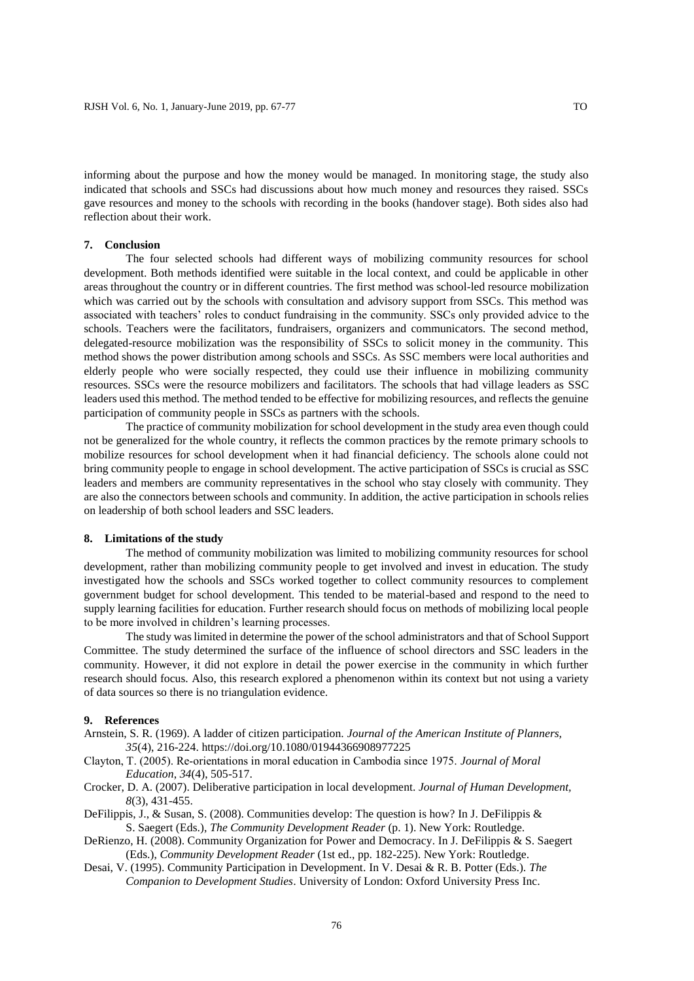informing about the purpose and how the money would be managed. In monitoring stage, the study also indicated that schools and SSCs had discussions about how much money and resources they raised. SSCs gave resources and money to the schools with recording in the books (handover stage). Both sides also had reflection about their work.

### **7. Conclusion**

The four selected schools had different ways of mobilizing community resources for school development. Both methods identified were suitable in the local context, and could be applicable in other areas throughout the country or in different countries. The first method was school-led resource mobilization which was carried out by the schools with consultation and advisory support from SSCs. This method was associated with teachers' roles to conduct fundraising in the community. SSCs only provided advice to the schools. Teachers were the facilitators, fundraisers, organizers and communicators. The second method, delegated-resource mobilization was the responsibility of SSCs to solicit money in the community. This method shows the power distribution among schools and SSCs. As SSC members were local authorities and elderly people who were socially respected, they could use their influence in mobilizing community resources. SSCs were the resource mobilizers and facilitators. The schools that had village leaders as SSC leaders used this method. The method tended to be effective for mobilizing resources, and reflects the genuine participation of community people in SSCs as partners with the schools.

The practice of community mobilization for school development in the study area even though could not be generalized for the whole country, it reflects the common practices by the remote primary schools to mobilize resources for school development when it had financial deficiency. The schools alone could not bring community people to engage in school development. The active participation of SSCs is crucial as SSC leaders and members are community representatives in the school who stay closely with community. They are also the connectors between schools and community. In addition, the active participation in schools relies on leadership of both school leaders and SSC leaders.

### **8. Limitations of the study**

The method of community mobilization was limited to mobilizing community resources for school development, rather than mobilizing community people to get involved and invest in education. The study investigated how the schools and SSCs worked together to collect community resources to complement government budget for school development. This tended to be material-based and respond to the need to supply learning facilities for education. Further research should focus on methods of mobilizing local people to be more involved in children's learning processes.

The study was limited in determine the power of the school administrators and that of School Support Committee. The study determined the surface of the influence of school directors and SSC leaders in the community. However, it did not explore in detail the power exercise in the community in which further research should focus. Also, this research explored a phenomenon within its context but not using a variety of data sources so there is no triangulation evidence.

# **9. References**

- Arnstein, S. R. (1969). A ladder of citizen participation. *Journal of the American Institute of Planners, 35*(4), 216-224. https://doi.org/10.1080/01944366908977225
- Clayton, T. (2005). Re‐orientations in moral education in Cambodia since 1975. *Journal of Moral Education*, *34*(4), 505-517.
- Crocker, D. A. (2007). Deliberative participation in local development. *Journal of Human Development, 8*(3), 431-455.
- DeFilippis, J., & Susan, S. (2008). Communities develop: The question is how? In J. DeFilippis & S. Saegert (Eds.), *The Community Development Reader* (p. 1). New York: Routledge.
- DeRienzo, H. (2008). Community Organization for Power and Democracy. In J. DeFilippis & S. Saegert (Eds.), *Community Development Reader* (1st ed., pp. 182-225). New York: Routledge.
- Desai, V. (1995). Community Participation in Development. In V. Desai & R. B. Potter (Eds.). *The Companion to Development Studies*. University of London: Oxford University Press Inc.